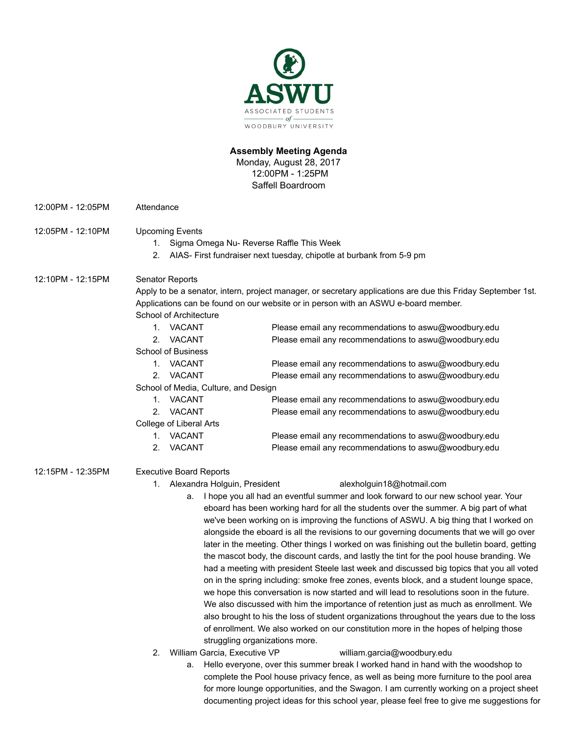

# **Assembly Meeting Agenda**

Monday, August 28, 2017 12:00PM - 1:25PM Saffell Boardroom

- 12:00PM 12:05PM Attendance 12:05PM - 12:10PM Upcoming Events 1. Sigma Omega Nu- Reverse Raffle This Week 2. AIAS- First fundraiser next tuesday, chipotle at burbank from 5-9 pm 12:10PM - 12:15PM Senator Reports Apply to be a senator, intern, project manager, or secretary applications are due this Friday September 1st. Applications can be found on our website or in person with an ASWU e-board member. School of Architecture 1. VACANT Please email any recommendations to aswu@woodbury.edu 2. VACANT Please email any recommendations to aswu@woodbury.edu School of Business 1. VACANT Please email any recommendations to aswu@woodbury.edu 2. VACANT Please email any recommendations to aswu@woodbury.edu School of Media, Culture, and Design 1. VACANT Please email any recommendations to aswu@woodbury.edu 2. VACANT Please email any recommendations to aswu@woodbury.edu College of Liberal Arts 1. VACANT Please email any recommendations to aswu@woodbury.edu 2. VACANT Please email any recommendations to aswu@woodbury.edu 12:15PM - 12:35PM Executive Board Reports 1. Alexandra Holguin, President alexholguin18@hotmail.com a. I hope you all had an eventful summer and look forward to our new school year. Your eboard has been working hard for all the students over the summer. A big part of what we've been working on is improving the functions of ASWU. A big thing that I worked on alongside the eboard is all the revisions to our governing documents that we will go over later in the meeting. Other things I worked on was finishing out the bulletin board, getting the mascot body, the discount cards, and lastly the tint for the pool house branding. We had a meeting with president Steele last week and discussed big topics that you all voted on in the spring including: smoke free zones, events block, and a student lounge space, we hope this conversation is now started and will lead to resolutions soon in the future. We also discussed with him the importance of retention just as much as enrollment. We also brought to his the loss of student organizations throughout the years due to the loss of enrollment. We also worked on our constitution more in the hopes of helping those struggling organizations more. 2. William Garcia, Executive VP william.garcia@woodbury.edu a. Hello everyone, over this summer break I worked hand in hand with the woodshop to complete the Pool house privacy fence, as well as being more furniture to the pool area
	- for more lounge opportunities, and the Swagon. I am currently working on a project sheet documenting project ideas for this school year, please feel free to give me suggestions for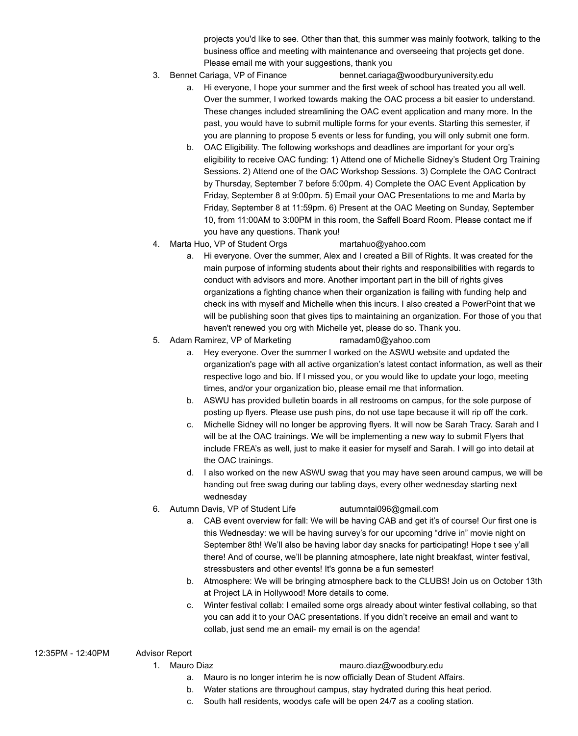projects you'd like to see. Other than that, this summer was mainly footwork, talking to the business office and meeting with maintenance and overseeing that projects get done. Please email me with your suggestions, thank you

- 3. Bennet Cariaga, VP of Finance bennet.cariaga@woodburyuniversity.edu
	- a. Hi everyone, I hope your summer and the first week of school has treated you all well. Over the summer, I worked towards making the OAC process a bit easier to understand. These changes included streamlining the OAC event application and many more. In the past, you would have to submit multiple forms for your events. Starting this semester, if you are planning to propose 5 events or less for funding, you will only submit one form.
	- b. OAC Eligibility. The following workshops and deadlines are important for your org's eligibility to receive OAC funding: 1) Attend one of Michelle Sidney's Student Org Training Sessions. 2) Attend one of the OAC Workshop Sessions. 3) Complete the OAC Contract by Thursday, September 7 before 5:00pm. 4) Complete the OAC Event Application by Friday, September 8 at 9:00pm. 5) Email your OAC Presentations to me and Marta by Friday, September 8 at 11:59pm. 6) Present at the OAC Meeting on Sunday, September 10, from 11:00AM to 3:00PM in this room, the Saffell Board Room. Please contact me if you have any questions. Thank you!
- 4. Marta Huo, VP of Student Orgs martahuo@yahoo.com
	- a. Hi everyone. Over the summer, Alex and I created a Bill of Rights. It was created for the main purpose of informing students about their rights and responsibilities with regards to conduct with advisors and more. Another important part in the bill of rights gives organizations a fighting chance when their organization is failing with funding help and check ins with myself and Michelle when this incurs. I also created a PowerPoint that we will be publishing soon that gives tips to maintaining an organization. For those of you that haven't renewed you org with Michelle yet, please do so. Thank you.
- 5. Adam Ramirez, VP of Marketing ramadam0@yahoo.com
	- a. Hey everyone. Over the summer I worked on the ASWU website and updated the organization's page with all active organization's latest contact information, as well as their respective logo and bio. If I missed you, or you would like to update your logo, meeting times, and/or your organization bio, please email me that information.
	- b. ASWU has provided bulletin boards in all restrooms on campus, for the sole purpose of posting up flyers. Please use push pins, do not use tape because it will rip off the cork.
	- c. Michelle Sidney will no longer be approving flyers. It will now be Sarah Tracy. Sarah and I will be at the OAC trainings. We will be implementing a new way to submit Flyers that include FREA's as well, just to make it easier for myself and Sarah. I will go into detail at the OAC trainings.
	- d. I also worked on the new ASWU swag that you may have seen around campus, we will be handing out free swag during our tabling days, every other wednesday starting next wednesday
- 6. Autumn Davis, VP of Student Life autumntai096@gmail.com
	- a. CAB event overview for fall: We will be having CAB and get it's of course! Our first one is this Wednesday: we will be having survey's for our upcoming "drive in" movie night on September 8th! We'll also be having labor day snacks for participating! Hope t see y'all there! And of course, we'll be planning atmosphere, late night breakfast, winter festival, stressbusters and other events! It's gonna be a fun semester!
	- b. Atmosphere: We will be bringing atmosphere back to the CLUBS! Join us on October 13th at Project LA in Hollywood! More details to come.
	- c. Winter festival collab: I emailed some orgs already about winter festival collabing, so that you can add it to your OAC presentations. If you didn't receive an email and want to collab, just send me an email- my email is on the agenda!

## 12:35PM - 12:40PM Advisor Report

### 1. Mauro Diaz mauro.diaz@woodbury.edu

- a. Mauro is no longer interim he is now officially Dean of Student Affairs.
- b. Water stations are throughout campus, stay hydrated during this heat period.
- c. South hall residents, woodys cafe will be open 24/7 as a cooling station.